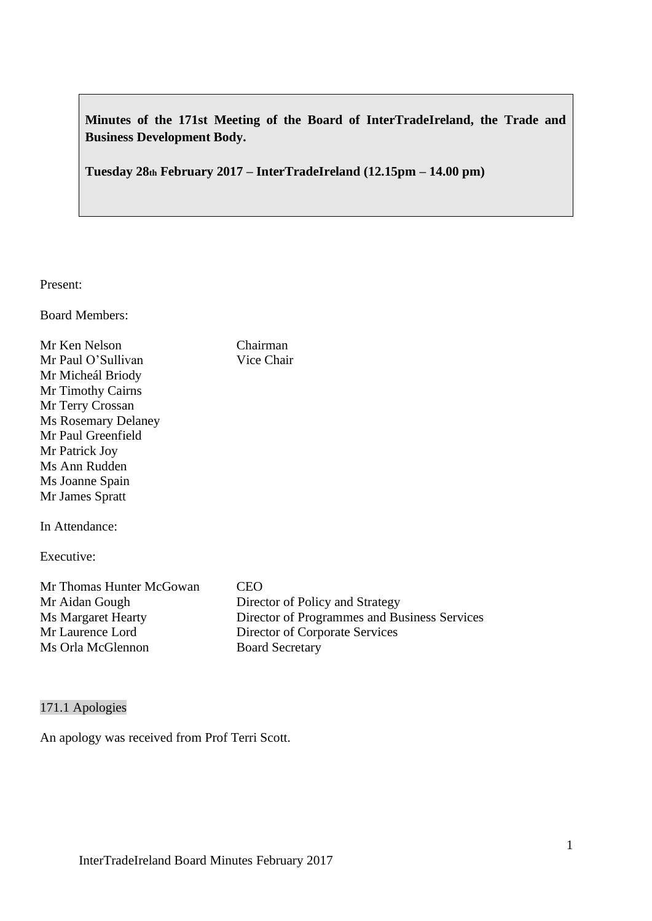**Minutes of the 171st Meeting of the Board of InterTradeIreland, the Trade and Business Development Body.**

**Tuesday 28th February 2017 – InterTradeIreland (12.15pm – 14.00 pm)**

Present:

Board Members:

| Mr Ken Nelson              | Chairman                                     |
|----------------------------|----------------------------------------------|
| Mr Paul O'Sullivan         | Vice Chair                                   |
| Mr Micheál Briody          |                                              |
| Mr Timothy Cairns          |                                              |
| Mr Terry Crossan           |                                              |
| <b>Ms Rosemary Delaney</b> |                                              |
| Mr Paul Greenfield         |                                              |
| Mr Patrick Joy             |                                              |
| Ms Ann Rudden              |                                              |
| Ms Joanne Spain            |                                              |
| Mr James Spratt            |                                              |
| In Attendance:             |                                              |
| Executive:                 |                                              |
| Mr Thomas Hunter McGowan   | <b>CEO</b>                                   |
| Mr Aidan Gough             | Director of Policy and Strategy              |
| <b>Ms Margaret Hearty</b>  | Director of Programmes and Business Services |
| Mr Laurence Lord           | Director of Corporate Services               |
| Ms Orla McGlennon          | <b>Board Secretary</b>                       |
|                            |                                              |

# 171.1 Apologies

An apology was received from Prof Terri Scott.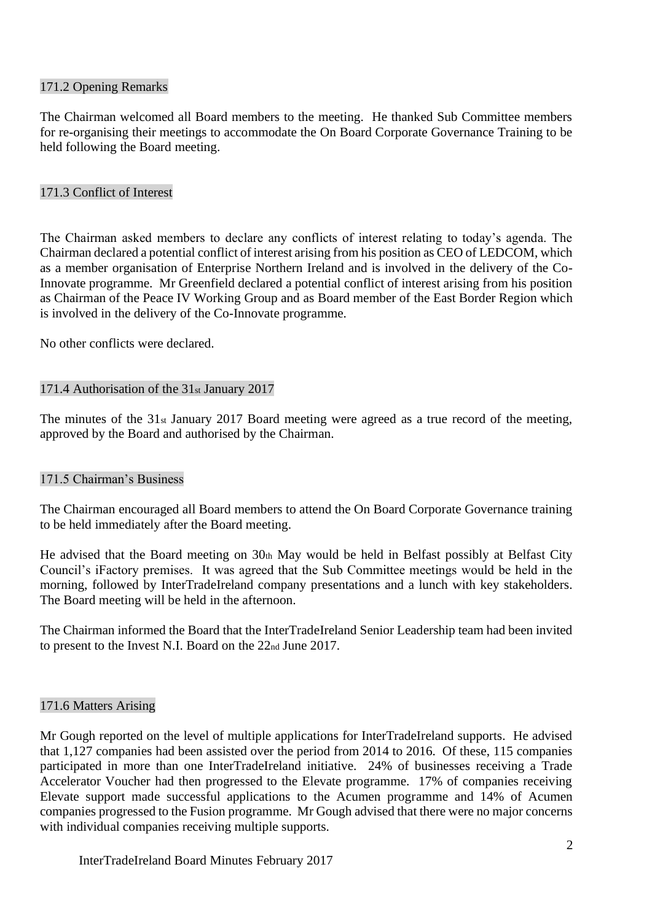#### 171.2 Opening Remarks

The Chairman welcomed all Board members to the meeting. He thanked Sub Committee members for re-organising their meetings to accommodate the On Board Corporate Governance Training to be held following the Board meeting.

### 171.3 Conflict of Interest

The Chairman asked members to declare any conflicts of interest relating to today's agenda. The Chairman declared a potential conflict of interest arising from his position as CEO of LEDCOM, which as a member organisation of Enterprise Northern Ireland and is involved in the delivery of the Co-Innovate programme. Mr Greenfield declared a potential conflict of interest arising from his position as Chairman of the Peace IV Working Group and as Board member of the East Border Region which is involved in the delivery of the Co-Innovate programme.

No other conflicts were declared.

### 171.4 Authorisation of the 31st January 2017

The minutes of the 31st January 2017 Board meeting were agreed as a true record of the meeting, approved by the Board and authorised by the Chairman.

#### 171.5 Chairman's Business

The Chairman encouraged all Board members to attend the On Board Corporate Governance training to be held immediately after the Board meeting.

He advised that the Board meeting on 30th May would be held in Belfast possibly at Belfast City Council's iFactory premises. It was agreed that the Sub Committee meetings would be held in the morning, followed by InterTradeIreland company presentations and a lunch with key stakeholders. The Board meeting will be held in the afternoon.

The Chairman informed the Board that the InterTradeIreland Senior Leadership team had been invited to present to the Invest N.I. Board on the 22nd June 2017.

#### 171.6 Matters Arising

Mr Gough reported on the level of multiple applications for InterTradeIreland supports. He advised that 1,127 companies had been assisted over the period from 2014 to 2016. Of these, 115 companies participated in more than one InterTradeIreland initiative. 24% of businesses receiving a Trade Accelerator Voucher had then progressed to the Elevate programme. 17% of companies receiving Elevate support made successful applications to the Acumen programme and 14% of Acumen companies progressed to the Fusion programme. Mr Gough advised that there were no major concerns with individual companies receiving multiple supports.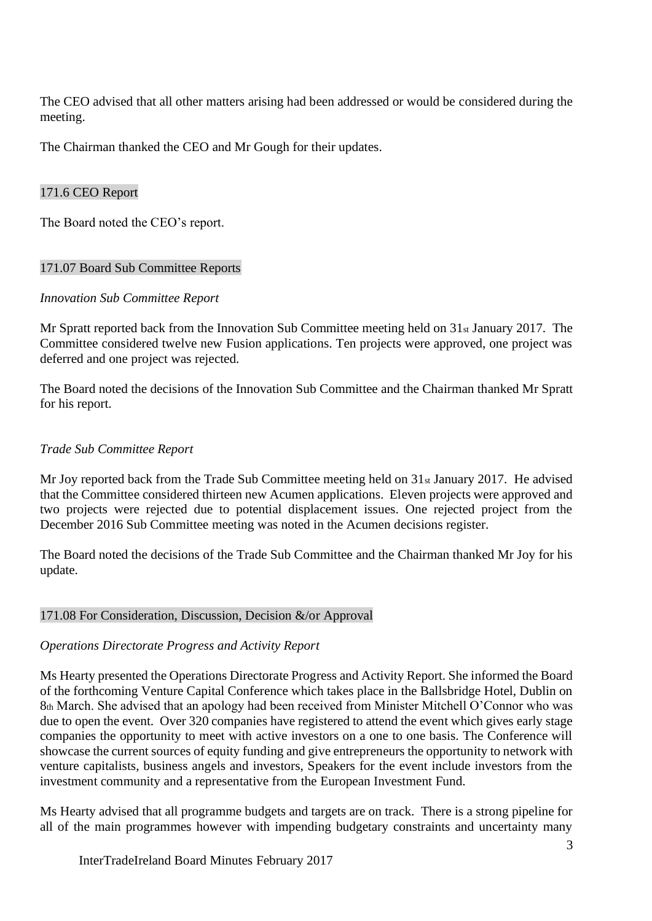The CEO advised that all other matters arising had been addressed or would be considered during the meeting.

The Chairman thanked the CEO and Mr Gough for their updates.

### 171.6 CEO Report

The Board noted the CEO's report.

### 171.07 Board Sub Committee Reports

### *Innovation Sub Committee Report*

Mr Spratt reported back from the Innovation Sub Committee meeting held on 31st January 2017. The Committee considered twelve new Fusion applications. Ten projects were approved, one project was deferred and one project was rejected.

The Board noted the decisions of the Innovation Sub Committee and the Chairman thanked Mr Spratt for his report.

# *Trade Sub Committee Report*

Mr Joy reported back from the Trade Sub Committee meeting held on 31st January 2017. He advised that the Committee considered thirteen new Acumen applications. Eleven projects were approved and two projects were rejected due to potential displacement issues. One rejected project from the December 2016 Sub Committee meeting was noted in the Acumen decisions register.

The Board noted the decisions of the Trade Sub Committee and the Chairman thanked Mr Joy for his update.

#### 171.08 For Consideration, Discussion, Decision &/or Approval

# *Operations Directorate Progress and Activity Report*

Ms Hearty presented the Operations Directorate Progress and Activity Report. She informed the Board of the forthcoming Venture Capital Conference which takes place in the Ballsbridge Hotel, Dublin on 8th March. She advised that an apology had been received from Minister Mitchell O'Connor who was due to open the event. Over 320 companies have registered to attend the event which gives early stage companies the opportunity to meet with active investors on a one to one basis. The Conference will showcase the current sources of equity funding and give entrepreneurs the opportunity to network with venture capitalists, business angels and investors, Speakers for the event include investors from the investment community and a representative from the European Investment Fund.

Ms Hearty advised that all programme budgets and targets are on track. There is a strong pipeline for all of the main programmes however with impending budgetary constraints and uncertainty many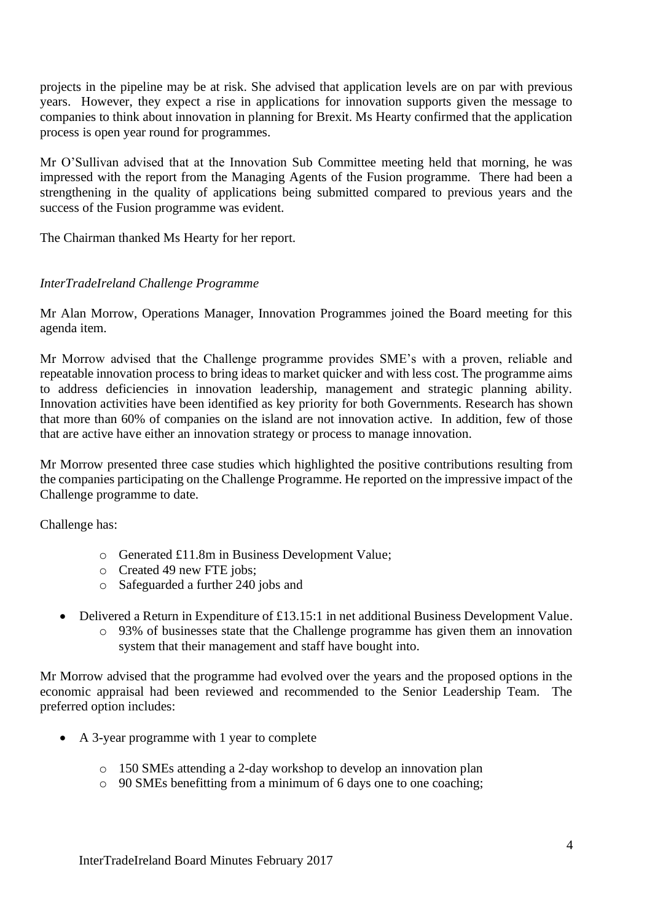projects in the pipeline may be at risk. She advised that application levels are on par with previous years. However, they expect a rise in applications for innovation supports given the message to companies to think about innovation in planning for Brexit. Ms Hearty confirmed that the application process is open year round for programmes.

Mr O'Sullivan advised that at the Innovation Sub Committee meeting held that morning, he was impressed with the report from the Managing Agents of the Fusion programme. There had been a strengthening in the quality of applications being submitted compared to previous years and the success of the Fusion programme was evident.

The Chairman thanked Ms Hearty for her report.

# *InterTradeIreland Challenge Programme*

Mr Alan Morrow, Operations Manager, Innovation Programmes joined the Board meeting for this agenda item.

Mr Morrow advised that the Challenge programme provides SME's with a proven, reliable and repeatable innovation process to bring ideas to market quicker and with less cost. The programme aims to address deficiencies in innovation leadership, management and strategic planning ability. Innovation activities have been identified as key priority for both Governments. Research has shown that more than 60% of companies on the island are not innovation active. In addition, few of those that are active have either an innovation strategy or process to manage innovation.

Mr Morrow presented three case studies which highlighted the positive contributions resulting from the companies participating on the Challenge Programme. He reported on the impressive impact of the Challenge programme to date.

Challenge has:

- o Generated £11.8m in Business Development Value;
- o Created 49 new FTE jobs;
- o Safeguarded a further 240 jobs and
- Delivered a Return in Expenditure of £13.15:1 in net additional Business Development Value. o 93% of businesses state that the Challenge programme has given them an innovation
	- system that their management and staff have bought into.

Mr Morrow advised that the programme had evolved over the years and the proposed options in the economic appraisal had been reviewed and recommended to the Senior Leadership Team. The preferred option includes:

- A 3-year programme with 1 year to complete
	- o 150 SMEs attending a 2-day workshop to develop an innovation plan
	- o 90 SMEs benefitting from a minimum of 6 days one to one coaching;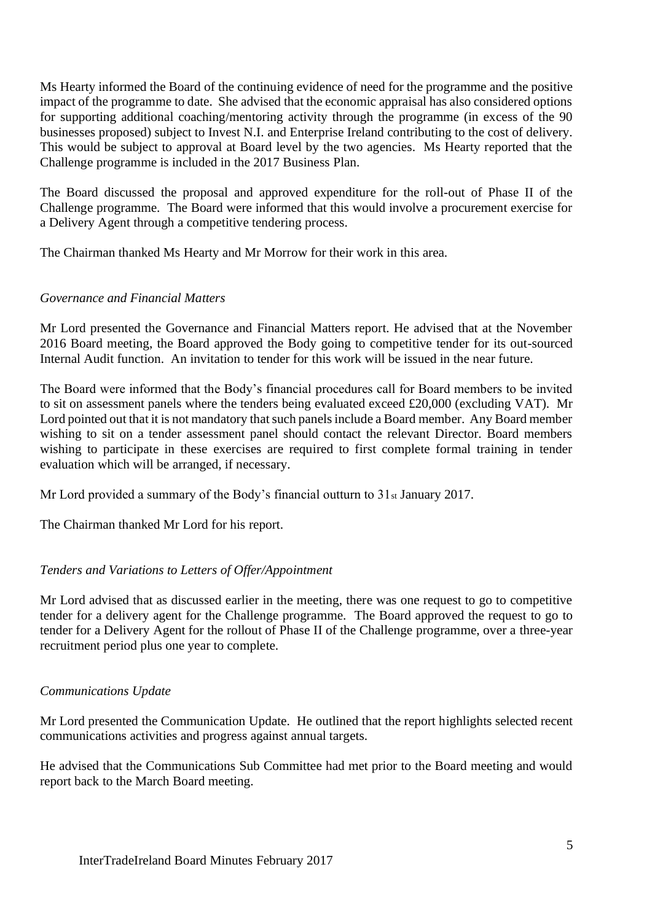Ms Hearty informed the Board of the continuing evidence of need for the programme and the positive impact of the programme to date. She advised that the economic appraisal has also considered options for supporting additional coaching/mentoring activity through the programme (in excess of the 90 businesses proposed) subject to Invest N.I. and Enterprise Ireland contributing to the cost of delivery. This would be subject to approval at Board level by the two agencies. Ms Hearty reported that the Challenge programme is included in the 2017 Business Plan.

The Board discussed the proposal and approved expenditure for the roll-out of Phase II of the Challenge programme. The Board were informed that this would involve a procurement exercise for a Delivery Agent through a competitive tendering process.

The Chairman thanked Ms Hearty and Mr Morrow for their work in this area.

### *Governance and Financial Matters*

Mr Lord presented the Governance and Financial Matters report. He advised that at the November 2016 Board meeting, the Board approved the Body going to competitive tender for its out-sourced Internal Audit function. An invitation to tender for this work will be issued in the near future.

The Board were informed that the Body's financial procedures call for Board members to be invited to sit on assessment panels where the tenders being evaluated exceed £20,000 (excluding VAT). Mr Lord pointed out that it is not mandatory that such panels include a Board member. Any Board member wishing to sit on a tender assessment panel should contact the relevant Director. Board members wishing to participate in these exercises are required to first complete formal training in tender evaluation which will be arranged, if necessary.

Mr Lord provided a summary of the Body's financial outturn to 31<sup>st</sup> January 2017.

The Chairman thanked Mr Lord for his report.

# *Tenders and Variations to Letters of Offer/Appointment*

Mr Lord advised that as discussed earlier in the meeting, there was one request to go to competitive tender for a delivery agent for the Challenge programme. The Board approved the request to go to tender for a Delivery Agent for the rollout of Phase II of the Challenge programme, over a three-year recruitment period plus one year to complete.

#### *Communications Update*

Mr Lord presented the Communication Update. He outlined that the report highlights selected recent communications activities and progress against annual targets.

He advised that the Communications Sub Committee had met prior to the Board meeting and would report back to the March Board meeting.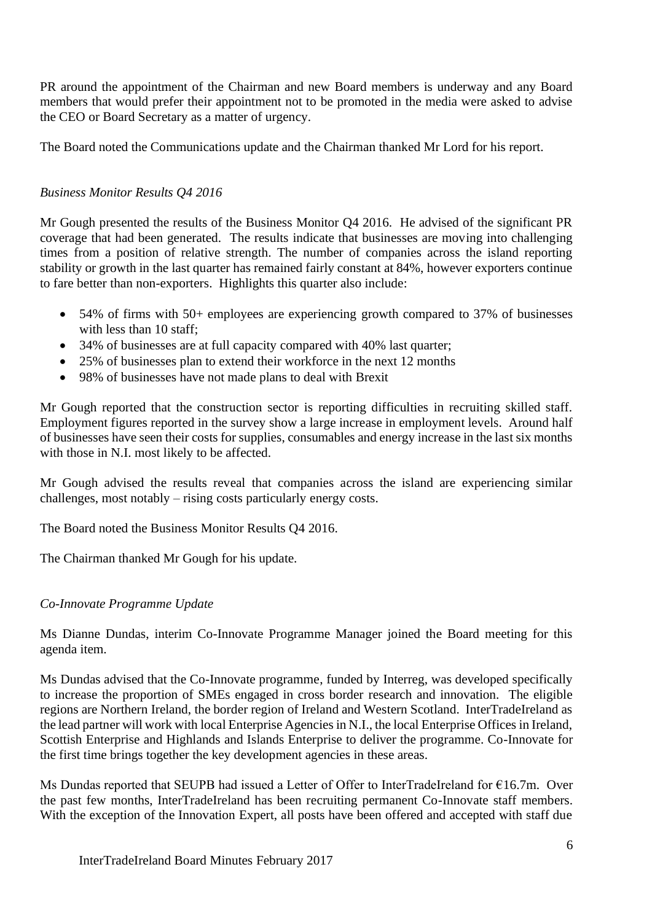PR around the appointment of the Chairman and new Board members is underway and any Board members that would prefer their appointment not to be promoted in the media were asked to advise the CEO or Board Secretary as a matter of urgency.

The Board noted the Communications update and the Chairman thanked Mr Lord for his report.

# *Business Monitor Results Q4 2016*

Mr Gough presented the results of the Business Monitor Q4 2016. He advised of the significant PR coverage that had been generated. The results indicate that businesses are moving into challenging times from a position of relative strength. The number of companies across the island reporting stability or growth in the last quarter has remained fairly constant at 84%, however exporters continue to fare better than non-exporters. Highlights this quarter also include:

- 54% of firms with 50+ employees are experiencing growth compared to 37% of businesses with less than 10 staff;
- 34% of businesses are at full capacity compared with 40% last quarter;
- 25% of businesses plan to extend their workforce in the next 12 months
- 98% of businesses have not made plans to deal with Brexit

Mr Gough reported that the construction sector is reporting difficulties in recruiting skilled staff. Employment figures reported in the survey show a large increase in employment levels. Around half of businesses have seen their costs for supplies, consumables and energy increase in the last six months with those in N.I. most likely to be affected.

Mr Gough advised the results reveal that companies across the island are experiencing similar challenges, most notably – rising costs particularly energy costs.

The Board noted the Business Monitor Results Q4 2016.

The Chairman thanked Mr Gough for his update.

# *Co-Innovate Programme Update*

Ms Dianne Dundas, interim Co-Innovate Programme Manager joined the Board meeting for this agenda item.

Ms Dundas advised that the Co-Innovate programme, funded by Interreg, was developed specifically to increase the proportion of SMEs engaged in cross border research and innovation. The eligible regions are Northern Ireland, the border region of Ireland and Western Scotland. InterTradeIreland as the lead partner will work with local Enterprise Agencies in N.I., the local Enterprise Offices in Ireland, Scottish Enterprise and Highlands and Islands Enterprise to deliver the programme. Co-Innovate for the first time brings together the key development agencies in these areas.

Ms Dundas reported that SEUPB had issued a Letter of Offer to InterTradeIreland for €16.7m. Over the past few months, InterTradeIreland has been recruiting permanent Co-Innovate staff members. With the exception of the Innovation Expert, all posts have been offered and accepted with staff due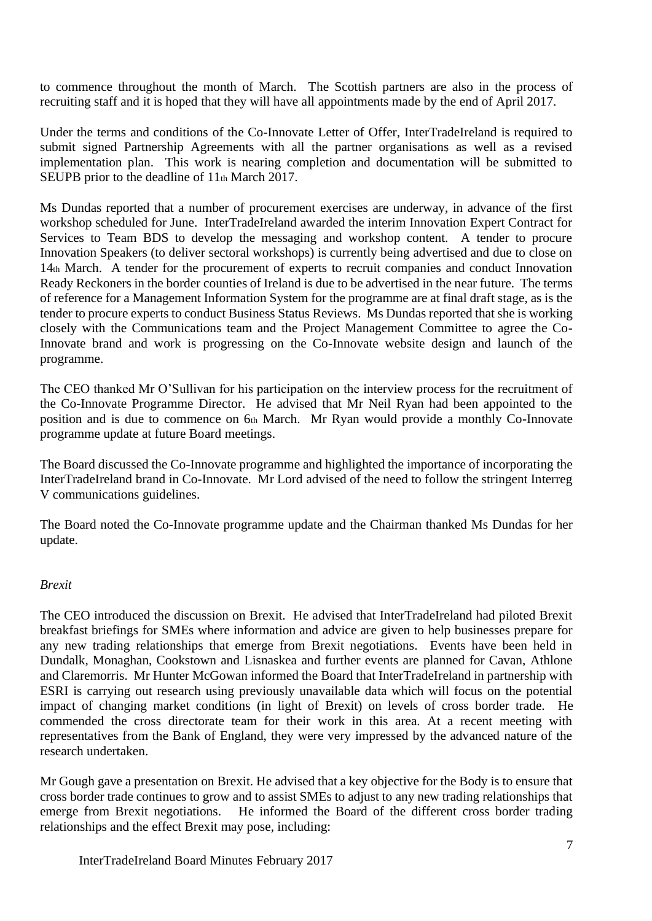to commence throughout the month of March. The Scottish partners are also in the process of recruiting staff and it is hoped that they will have all appointments made by the end of April 2017.

Under the terms and conditions of the Co-Innovate Letter of Offer, InterTradeIreland is required to submit signed Partnership Agreements with all the partner organisations as well as a revised implementation plan. This work is nearing completion and documentation will be submitted to SEUPB prior to the deadline of 11<sup>th</sup> March 2017.

Ms Dundas reported that a number of procurement exercises are underway, in advance of the first workshop scheduled for June. InterTradeIreland awarded the interim Innovation Expert Contract for Services to Team BDS to develop the messaging and workshop content. A tender to procure Innovation Speakers (to deliver sectoral workshops) is currently being advertised and due to close on 14th March. A tender for the procurement of experts to recruit companies and conduct Innovation Ready Reckoners in the border counties of Ireland is due to be advertised in the near future. The terms of reference for a Management Information System for the programme are at final draft stage, as is the tender to procure experts to conduct Business Status Reviews. Ms Dundas reported that she is working closely with the Communications team and the Project Management Committee to agree the Co-Innovate brand and work is progressing on the Co-Innovate website design and launch of the programme.

The CEO thanked Mr O'Sullivan for his participation on the interview process for the recruitment of the Co-Innovate Programme Director. He advised that Mr Neil Ryan had been appointed to the position and is due to commence on 6th March. Mr Ryan would provide a monthly Co-Innovate programme update at future Board meetings.

The Board discussed the Co-Innovate programme and highlighted the importance of incorporating the InterTradeIreland brand in Co-Innovate. Mr Lord advised of the need to follow the stringent Interreg V communications guidelines.

The Board noted the Co-Innovate programme update and the Chairman thanked Ms Dundas for her update.

#### *Brexit*

The CEO introduced the discussion on Brexit. He advised that InterTradeIreland had piloted Brexit breakfast briefings for SMEs where information and advice are given to help businesses prepare for any new trading relationships that emerge from Brexit negotiations. Events have been held in Dundalk, Monaghan, Cookstown and Lisnaskea and further events are planned for Cavan, Athlone and Claremorris. Mr Hunter McGowan informed the Board that InterTradeIreland in partnership with ESRI is carrying out research using previously unavailable data which will focus on the potential impact of changing market conditions (in light of Brexit) on levels of cross border trade. He commended the cross directorate team for their work in this area. At a recent meeting with representatives from the Bank of England, they were very impressed by the advanced nature of the research undertaken.

Mr Gough gave a presentation on Brexit. He advised that a key objective for the Body is to ensure that cross border trade continues to grow and to assist SMEs to adjust to any new trading relationships that emerge from Brexit negotiations. He informed the Board of the different cross border trading relationships and the effect Brexit may pose, including: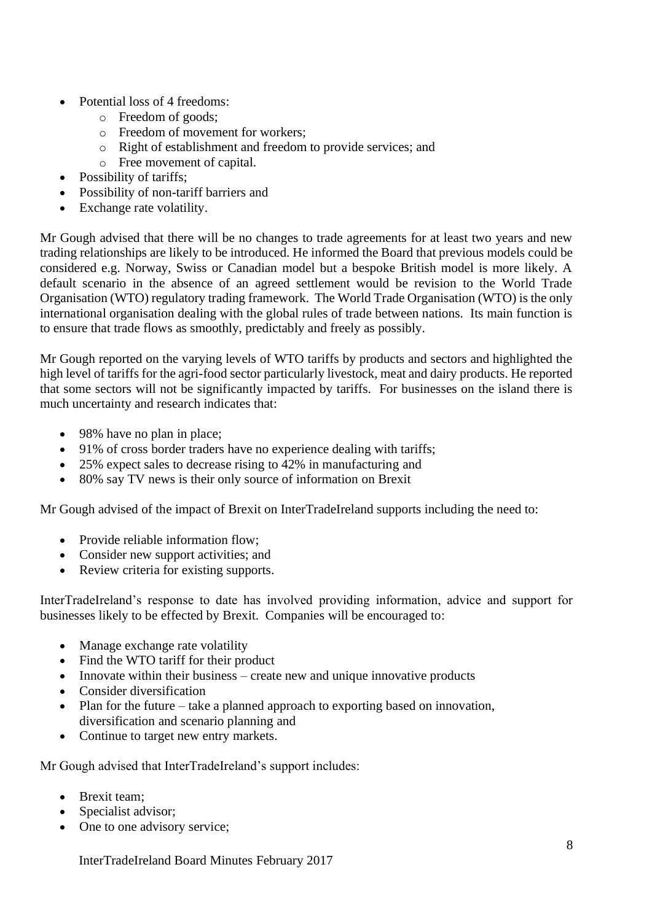- Potential loss of 4 freedoms:
	- o Freedom of goods;
	- o Freedom of movement for workers;
	- o Right of establishment and freedom to provide services; and
	- o Free movement of capital.
- Possibility of tariffs:
- Possibility of non-tariff barriers and
- Exchange rate volatility.

Mr Gough advised that there will be no changes to trade agreements for at least two years and new trading relationships are likely to be introduced. He informed the Board that previous models could be considered e.g. Norway, Swiss or Canadian model but a bespoke British model is more likely. A default scenario in the absence of an agreed settlement would be revision to the World Trade Organisation (WTO) regulatory trading framework. The World Trade Organisation (WTO) is the only international organisation dealing with the global rules of trade between nations. Its main function is to ensure that trade flows as smoothly, predictably and freely as possibly.

Mr Gough reported on the varying levels of WTO tariffs by products and sectors and highlighted the high level of tariffs for the agri-food sector particularly livestock, meat and dairy products. He reported that some sectors will not be significantly impacted by tariffs. For businesses on the island there is much uncertainty and research indicates that:

- 98% have no plan in place;
- 91% of cross border traders have no experience dealing with tariffs;
- 25% expect sales to decrease rising to 42% in manufacturing and
- 80% say TV news is their only source of information on Brexit

Mr Gough advised of the impact of Brexit on InterTradeIreland supports including the need to:

- Provide reliable information flow:
- Consider new support activities; and
- Review criteria for existing supports.

InterTradeIreland's response to date has involved providing information, advice and support for businesses likely to be effected by Brexit. Companies will be encouraged to:

- Manage exchange rate volatility
- Find the WTO tariff for their product
- Innovate within their business create new and unique innovative products
- Consider diversification
- Plan for the future take a planned approach to exporting based on innovation, diversification and scenario planning and
- Continue to target new entry markets.

Mr Gough advised that InterTradeIreland's support includes:

- Brexit team:
- Specialist advisor;
- One to one advisory service;

InterTradeIreland Board Minutes February 2017